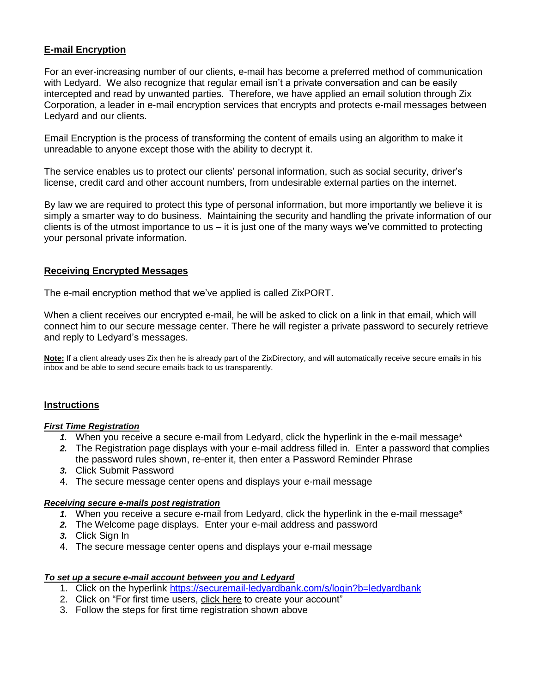# **E-mail Encryption**

For an ever-increasing number of our clients, e-mail has become a preferred method of communication with Ledyard. We also recognize that regular email isn't a private conversation and can be easily intercepted and read by unwanted parties. Therefore, we have applied an email solution through Zix Corporation, a leader in e-mail encryption services that encrypts and protects e-mail messages between Ledyard and our clients.

Email Encryption is the process of transforming the content of emails using an algorithm to make it unreadable to anyone except those with the ability to decrypt it.

The service enables us to protect our clients' personal information, such as social security, driver's license, credit card and other account numbers, from undesirable external parties on the internet.

By law we are required to protect this type of personal information, but more importantly we believe it is simply a smarter way to do business. Maintaining the security and handling the private information of our clients is of the utmost importance to us  $-$  it is just one of the many ways we've committed to protecting your personal private information.

## **Receiving Encrypted Messages**

The e-mail encryption method that we've applied is called ZixPORT.

When a client receives our encrypted e-mail, he will be asked to click on a link in that email, which will connect him to our secure message center. There he will register a private password to securely retrieve and reply to Ledyard's messages.

**Note:** If a client already uses Zix then he is already part of the ZixDirectory, and will automatically receive secure emails in his inbox and be able to send secure emails back to us transparently.

### **Instructions**

### *First Time Registration*

- *1.* When you receive a secure e-mail from Ledyard, click the hyperlink in the e-mail message\*
- *2.* The Registration page displays with your e-mail address filled in. Enter a password that complies the password rules shown, re-enter it, then enter a Password Reminder Phrase
- *3.* Click Submit Password
- 4. The secure message center opens and displays your e-mail message

### *Receiving secure e-mails post registration*

- *1.* When you receive a secure e-mail from Ledyard, click the hyperlink in the e-mail message\*
- *2.* The Welcome page displays. Enter your e-mail address and password
- *3.* Click Sign In
- 4. The secure message center opens and displays your e-mail message

### *To set up a secure e-mail account between you and Ledyard*

- 1. Click on the hyperlink<https://securemail-ledyardbank.com/s/login?b=ledyardbank>
- 2. Click on "For first time users, click here to create your account"
- 3. Follow the steps for first time registration shown above